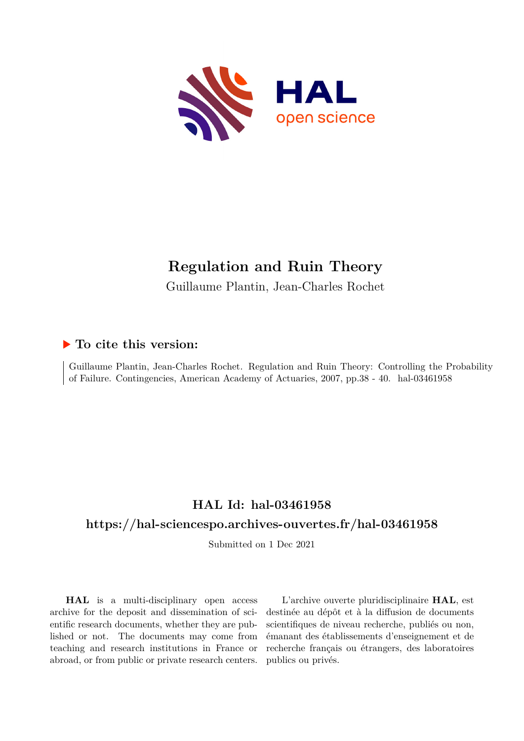

## **Regulation and Ruin Theory**

Guillaume Plantin, Jean-Charles Rochet

## **To cite this version:**

Guillaume Plantin, Jean-Charles Rochet. Regulation and Ruin Theory: Controlling the Probability of Failure. Contingencies, American Academy of Actuaries, 2007, pp.38 - 40. hal-03461958

# **HAL Id: hal-03461958**

## **<https://hal-sciencespo.archives-ouvertes.fr/hal-03461958>**

Submitted on 1 Dec 2021

**HAL** is a multi-disciplinary open access archive for the deposit and dissemination of scientific research documents, whether they are published or not. The documents may come from teaching and research institutions in France or abroad, or from public or private research centers.

L'archive ouverte pluridisciplinaire **HAL**, est destinée au dépôt et à la diffusion de documents scientifiques de niveau recherche, publiés ou non, émanant des établissements d'enseignement et de recherche français ou étrangers, des laboratoires publics ou privés.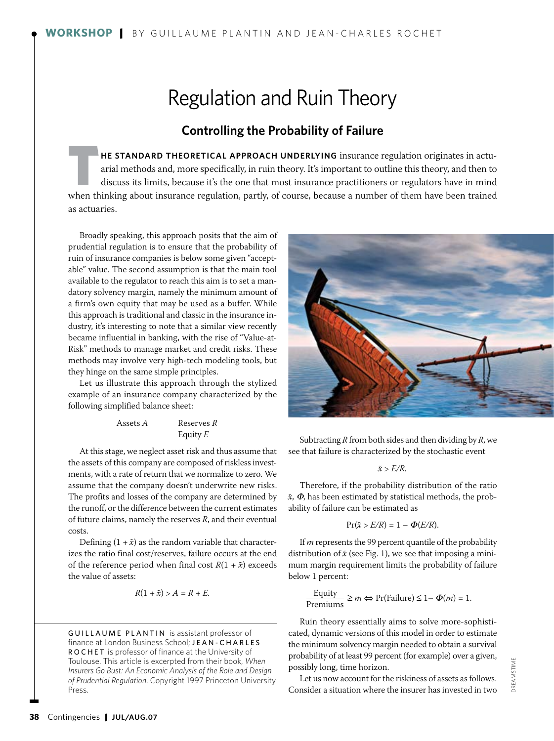# Regulation and Ruin Theory

### **Controlling the Probability of Failure**

**HE STANDARD THEORETICAL APPROACH UNDERLYING** insurance regulation originates in actu-<br>arial methods and, more specifically, in ruin theory. It's important to outline this theory, and then to<br>discuss its limits, because it arial methods and, more specifically, in ruin theory. It's important to outline this theory, and then to when thinking about insurance regulation, partly, of course, because a number of them have been trained as actuaries.

Broadly speaking, this approach posits that the aim of prudential regulation is to ensure that the probability of ruin of insurance companies is below some given "acceptable" value. The second assumption is that the main tool available to the regulator to reach this aim is to set a mandatory solvency margin, namely the minimum amount of a firm's own equity that may be used as a buffer. While this approach is traditional and classic in the insurance industry, it's interesting to note that a similar view recently became influential in banking, with the rise of "Value-at-Risk" methods to manage market and credit risks. These methods may involve very high-tech modeling tools, but they hinge on the same simple principles.

Let us illustrate this approach through the stylized example of an insurance company characterized by the following simplified balance sheet:

| Assets A   | Reserves R |
|------------|------------|
| Equity $E$ |            |

At this stage, we neglect asset risk and thus assume that the assets of this company are composed of riskless investments, with a rate of return that we normalize to zero. We assume that the company doesn't underwrite new risks. The profits and losses of the company are determined by the runoff, or the difference between the current estimates of future claims, namely the reserves *R*, and their eventual costs.

Defining  $(1 + \tilde{x})$  as the random variable that characterizes the ratio final cost/reserves, failure occurs at the end of the reference period when final cost  $R(1 + \tilde{x})$  exceeds the value of assets:

$$
R(1+\tilde{x}) > A = R + E.
$$

GUILLAUME PLANTIN is assistant professor of finance at London Business School; JEAN-CHARLES ROCHET is professor of finance at the University of Toulouse. This article is excerpted from their book, *When Insurers Go Bust: An Economic Analysis of the Role and Design of Prudential Regulation*. Copyright 1997 Princeton University Press.



Subtracting *R* from both sides and then dividing by *R*, we see that failure is characterized by the stochastic event

### $\tilde{x}$  >  $E/R$ .

Therefore, if the probability distribution of the ratio  $\tilde{x}$ ,  $\Phi$ , has been estimated by statistical methods, the probability of failure can be estimated as

$$
\Pr(\tilde{x} > E/R) = 1 - \Phi(E/R).
$$

If *m* represents the 99 percent quantile of the probability distribution of  $\tilde{x}$  (see Fig. 1), we see that imposing a minimum margin requirement limits the probability of failure below 1 percent:

$$
\frac{\text{Equity}}{\text{Premiums}} \ge m \Leftrightarrow \Pr(\text{Failure}) \le 1 - \Phi(m) = 1.
$$

Ruin theory essentially aims to solve more-sophisticated, dynamic versions of this model in order to estimate the minimum solvency margin needed to obtain a survival probability of at least 99 percent (for example) over a given, possibly long, time horizon.

Let us now account for the riskiness of assets as follows. Consider a situation where the insurer has invested in two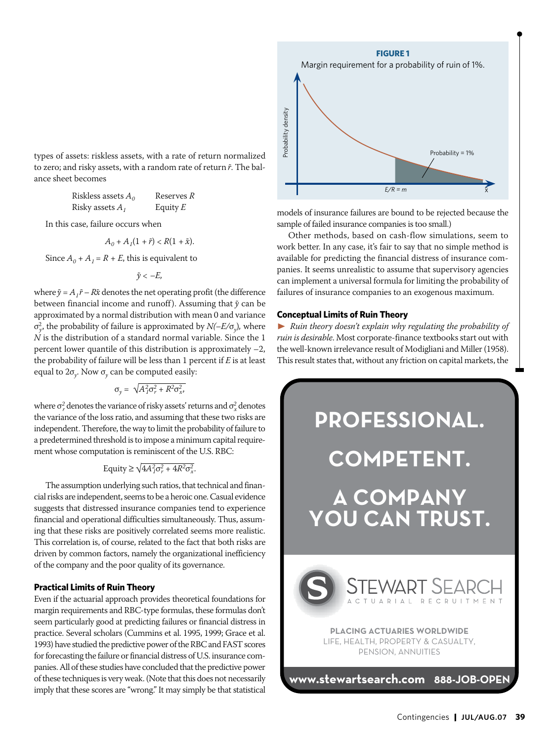types of assets: riskless assets, with a rate of return normalized to zero; and risky assets, with a random rate of return ˜*r*. The balance sheet becomes

| Riskless assets $A_0$ | Reserves R |
|-----------------------|------------|
| Risky assets $A_i$    | Equity $E$ |

In this case, failure occurs when

$$
A_0 + A_1(1+\tilde{r}) < R(1+\tilde{x}).
$$

Since  $A_0 + A_1 = R + E$ , this is equivalent to

$$
\tilde{y} < -E,
$$

where  $\tilde{y} = A_1 \tilde{r} - R\tilde{x}$  denotes the net operating profit (the difference between financial income and runoff). Assuming that  $\tilde{y}$  can be approximated by a normal distribution with mean 0 and variance σ2 *<sup>y</sup>*, the probability of failure is approximated by *N(–E/*σ*y*)*,* where *N* is the distribution of a standard normal variable. Since the 1 percent lower quantile of this distribution is approximately –2, the probability of failure will be less than 1 percent if *E* is at least equal to 2σ*y*. Now σ*y* can be computed easily:

$$
\sigma_y = \sqrt{A_1^2 \sigma_r^2 + R^2 \sigma_x^2},
$$

where  $\sigma_r^2$  denotes the variance of risky assets' returns and  $\sigma_x^2$  denotes the variance of the loss ratio, and assuming that these two risks are independent. Therefore, the way to limit the probability of failure to a predetermined threshold is to impose a minimum capital requirement whose computation is reminiscent of the U.S. RBC:

$$
Equity \ge \sqrt{4A_1^2 \sigma_r^2 + 4R^2 \sigma_x^2}.
$$

The assumption underlying such ratios, that technical and financial risks are independent, seems to be a heroic one. Casual evidence suggests that distressed insurance companies tend to experience financial and operational difficulties simultaneously. Thus, assuming that these risks are positively correlated seems more realistic. This correlation is, of course, related to the fact that both risks are driven by common factors, namely the organizational inefficiency of the company and the poor quality of its governance.

### **Practical Limits of Ruin Theory**

Even if the actuarial approach provides theoretical foundations for margin requirements and RBC-type formulas, these formulas don't seem particularly good at predicting failures or financial distress in practice. Several scholars (Cummins et al. 1995, 1999; Grace et al. 1993) have studied the predictive power of the RBC and FAST scores for forecasting the failure or financial distress of U.S. insurance companies. All of these studies have concluded that the predictive power of these techniques is very weak. (Note that this does not necessarily imply that these scores are "wrong." It may simply be that statistical



models of insurance failures are bound to be rejected because the sample of failed insurance companies is too small.)

 $E/R = m$ 

Other methods, based on cash-flow simulations, seem to work better. In any case, it's fair to say that no simple method is available for predicting the financial distress of insurance companies. It seems unrealistic to assume that supervisory agencies can implement a universal formula for limiting the probability of failures of insurance companies to an exogenous maximum.

### **Conceptual Limits of Ruin Theory**

® *Ruin theory doesn't explain why regulating the probability of ruin is desirable*. Most corporate-finance textbooks start out with the well-known irrelevance result of Modigliani and Miller (1958). This result states that, without any friction on capital markets, the